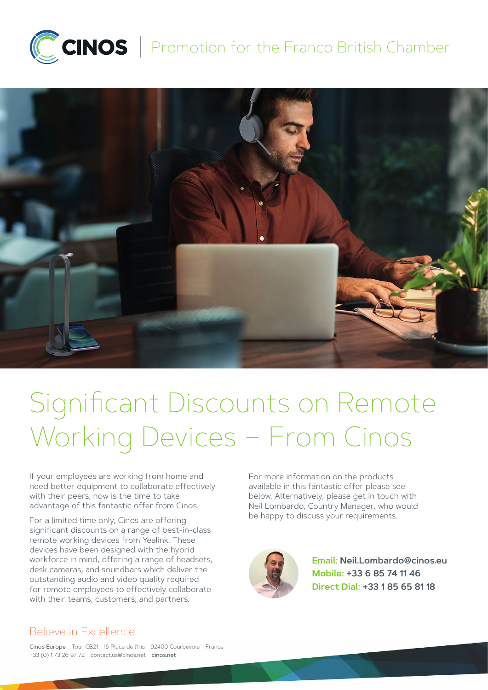

## CCINOS | Promotion for the Franco British Chamber



# Significant Discounts on Remote Working Devices – From Cinos

If your employees are working from home and need better equipment to collaborate effectively with their peers, now is the time to take advantage of this fantastic offer from Cinos.

For a limited time only, Cinos are offering significant discounts on a range of best-in-class remote working devices from Yealink. These devices have been designed with the hybrid workforce in mind, offering a range of headsets, desk cameras, and soundbars which deliver the outstanding audio and video quality required for remote employees to effectively collaborate with their teams, customers, and partners.

For more information on the products available in this fantastic offer please see below. Alternatively, please get in touch with Neil Lombardo, Country Manager, who would be happy to discuss your requirements.



**Email: [Neil.Lombardo@cinos.eu](mailto:neil.lombardo%40cinos.eu?subject=Yealink%20Promo%20Flyer%20-%20Franco%20British%20Chamber%20-%20Enquiry) Mobile: +33 6 85 74 11 46 Direct Dial: +33 1 85 65 81 18**

## Believe in Excellence